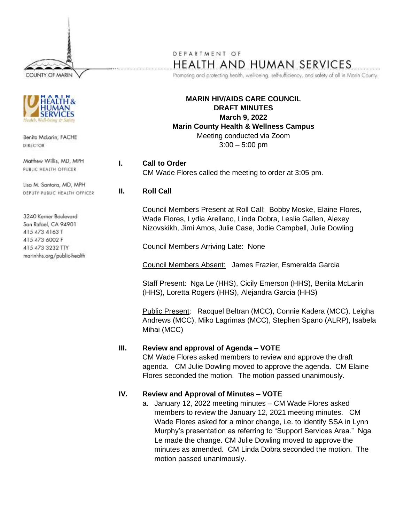COUNTY OF MARIN



Benita McLarin, FACHE DIRECTOR

Matthew Willis, MD, MPH PUBLIC HEALTH OFFICER

Lisa M. Santora, MD, MPH DEPUTY PUBLIC HEALTH OFFICER

3240 Kerner Boulevard San Rafael, CA 94901 415 473 4163 T 415 473 6002 F 415 473 3232 TTY marinhhs.org/public-health

# DEPARTMENT OF HEALTH AND HUMAN SERVICES

Promoting and protecting health, well-being, self-sufficiency, and safety of all in Marin County.

**MARIN HIV/AIDS CARE COUNCIL DRAFT MINUTES March 9, 2022 Marin County Health & Wellness Campus** Meeting conducted via Zoom  $3:00 - 5:00$  pm

**I. Call to Order** CM Wade Flores called the meeting to order at 3:05 pm.

### **II. Roll Call**

Council Members Present at Roll Call: Bobby Moske, Elaine Flores, Wade Flores, Lydia Arellano, Linda Dobra, Leslie Gallen, Alexey Nizovskikh, Jimi Amos, Julie Case, Jodie Campbell, Julie Dowling

Council Members Arriving Late: None

Council Members Absent: James Frazier, Esmeralda Garcia

Staff Present: Nga Le (HHS), Cicily Emerson (HHS), Benita McLarin (HHS), Loretta Rogers (HHS), Alejandra Garcia (HHS)

Public Present: Racquel Beltran (MCC), Connie Kadera (MCC), Leigha Andrews (MCC), Miko Lagrimas (MCC), Stephen Spano (ALRP), Isabela Mihai (MCC)

#### **III. Review and approval of Agenda – VOTE**

CM Wade Flores asked members to review and approve the draft agenda. CM Julie Dowling moved to approve the agenda. CM Elaine Flores seconded the motion. The motion passed unanimously.

#### **IV. Review and Approval of Minutes – VOTE**

a. January 12, 2022 meeting minutes - CM Wade Flores asked members to review the January 12, 2021 meeting minutes. CM Wade Flores asked for a minor change, i.e. to identify SSA in Lynn Murphy's presentation as referring to "Support Services Area." Nga Le made the change. CM Julie Dowling moved to approve the minutes as amended. CM Linda Dobra seconded the motion. The motion passed unanimously.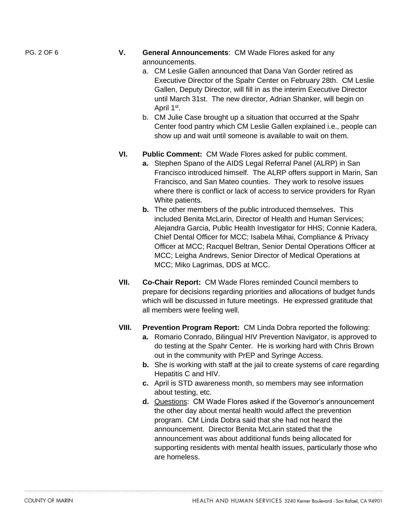- PG. 2 OF 6 **V. General Announcements**: CM Wade Flores asked for any announcements.
	- a. CM Leslie Gallen announced that Dana Van Gorder retired as Executive Director of the Spahr Center on February 28th. CM Leslie Gallen, Deputy Director, will fill in as the interim Executive Director until March 31st. The new director, Adrian Shanker, will begin on April 1<sup>st</sup>.
	- b. CM Julie Case brought up a situation that occurred at the Spahr Center food pantry which CM Leslie Gallen explained i.e., people can show up and wait until someone is available to wait on them.
	- **VI. Public Comment:** CM Wade Flores asked for public comment.
		- **a.** Stephen Spano of the AIDS Legal Referral Panel (ALRP) in San Francisco introduced himself. The ALRP offers support in Marin, San Francisco, and San Mateo counties. They work to resolve issues where there is conflict or lack of access to service providers for Ryan White patients.
		- **b.** The other members of the public introduced themselves. This included Benita McLarin, Director of Health and Human Services; Alejandra Garcia, Public Health Investigator for HHS; Connie Kadera, Chief Dental Officer for MCC; Isabela Mihai, Compliance & Privacy Officer at MCC; Racquel Beltran, Senior Dental Operations Officer at MCC; Leigha Andrews, Senior Director of Medical Operations at MCC; Miko Lagrimas, DDS at MCC.
	- **VII. Co-Chair Report:** CM Wade Flores reminded Council members to prepare for decisions regarding priorities and allocations of budget funds which will be discussed in future meetings. He expressed gratitude that all members were feeling well.
	- **VIII. Prevention Program Report:** CM Linda Dobra reported the following:
		- **a.** Romario Conrado, Bilingual HIV Prevention Navigator, is approved to do testing at the Spahr Center. He is working hard with Chris Brown out in the community with PrEP and Syringe Access.
		- **b.** She is working with staff at the jail to create systems of care regarding Hepatitis C and HIV.
		- **c.** April is STD awareness month, so members may see information about testing, etc.
		- **d.** Questions: CM Wade Flores asked if the Governor's announcement the other day about mental health would affect the prevention program. CM Linda Dobra said that she had not heard the announcement. Director Benita McLarin stated that the announcement was about additional funds being allocated for supporting residents with mental health issues, particularly those who are homeless.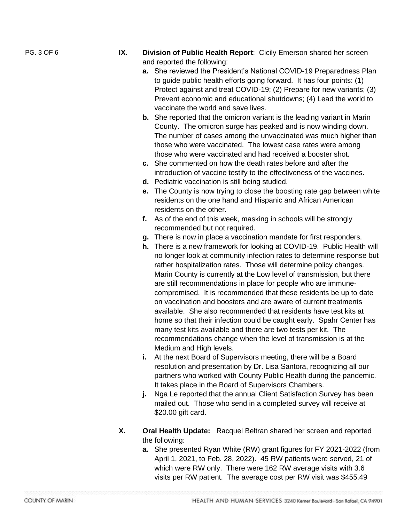- PG. 3 OF 6 **IX. Division of Public Health Report**: Cicily Emerson shared her screen and reported the following:
	- **a.** She reviewed the President's National COVID-19 Preparedness Plan to guide public health efforts going forward. It has four points: (1) Protect against and treat COVID-19; (2) Prepare for new variants; (3) Prevent economic and educational shutdowns; (4) Lead the world to vaccinate the world and save lives.
	- **b.** She reported that the omicron variant is the leading variant in Marin County. The omicron surge has peaked and is now winding down. The number of cases among the unvaccinated was much higher than those who were vaccinated. The lowest case rates were among those who were vaccinated and had received a booster shot.
	- **c.** She commented on how the death rates before and after the introduction of vaccine testify to the effectiveness of the vaccines.
	- **d.** Pediatric vaccination is still being studied.
	- **e.** The County is now trying to close the boosting rate gap between white residents on the one hand and Hispanic and African American residents on the other.
	- **f.** As of the end of this week, masking in schools will be strongly recommended but not required.
	- **g.** There is now in place a vaccination mandate for first responders.
	- **h.** There is a new framework for looking at COVID-19. Public Health will no longer look at community infection rates to determine response but rather hospitalization rates. Those will determine policy changes. Marin County is currently at the Low level of transmission, but there are still recommendations in place for people who are immunecompromised. It is recommended that these residents be up to date on vaccination and boosters and are aware of current treatments available. She also recommended that residents have test kits at home so that their infection could be caught early. Spahr Center has many test kits available and there are two tests per kit. The recommendations change when the level of transmission is at the Medium and High levels.
	- **i.** At the next Board of Supervisors meeting, there will be a Board resolution and presentation by Dr. Lisa Santora, recognizing all our partners who worked with County Public Health during the pandemic. It takes place in the Board of Supervisors Chambers.
	- **j.** Nga Le reported that the annual Client Satisfaction Survey has been mailed out. Those who send in a completed survey will receive at \$20.00 gift card.
	- **X. Oral Health Update:** Racquel Beltran shared her screen and reported the following:
		- **a.** She presented Ryan White (RW) grant figures for FY 2021-2022 (from April 1, 2021, to Feb. 28, 2022). 45 RW patients were served, 21 of which were RW only. There were 162 RW average visits with 3.6 visits per RW patient. The average cost per RW visit was \$455.49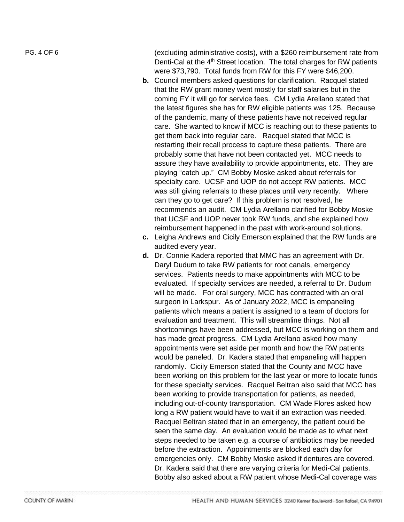PG. 4 OF

(excluding administrative costs), with a \$260 reimbursement rate from Denti-Cal at the 4<sup>th</sup> Street location. The total charges for RW patients were \$73,790. Total funds from RW for this FY were \$46,200.

- **b.** Council members asked questions for clarification. Racquel stated that the RW grant money went mostly for staff salaries but in the coming FY it will go for service fees. CM Lydia Arellano stated that the latest figures she has for RW eligible patients was 125. Because of the pandemic, many of these patients have not received regular care. She wanted to know if MCC is reaching out to these patients to get them back into regular care. Racquel stated that MCC is restarting their recall process to capture these patients. There are probably some that have not been contacted yet. MCC needs to assure they have availability to provide appointments, etc. They are playing "catch up." CM Bobby Moske asked about referrals for specialty care. UCSF and UOP do not accept RW patients. MCC was still giving referrals to these places until very recently. Where can they go to get care? If this problem is not resolved, he recommends an audit. CM Lydia Arellano clarified for Bobby Moske that UCSF and UOP never took RW funds , and she explained how reimbursement happened in the past with work -around solutions.
- **c.** Leigha Andrews and Cicily Emerson explained that the RW funds are audited every year.
- **d.** Dr. Connie Kadera reported that MMC has an agreement with Dr. Daryl Dudum to take RW patients for root canals, emergency services. Patients needs to make appointments with MCC to be evaluated. If specialty services are needed, a referral to Dr. Dudum will be made. For oral surgery, MCC has contracted with an oral surgeon in Larkspur. As of January 2022, MCC is empaneling patients which means a patient is assigned to a team of doctors for evaluation and treatment. This will streamline things. Not all shortcomings have been addressed, but MCC is working on them and has made great progress. CM Lydia Arellano asked how many appointments were set aside per month and how the RW patients would be paneled. Dr. Kadera stated that empaneling will happen randomly. Cicily Emerson stated that the County and MCC have been working on this problem for the last year or more to locate funds for these specialty services. Racquel Beltran also said that MCC has been working to provide transportation for patients, as needed, including out -of -county transportation . CM Wade Flores asked how long a RW patient would have to wait if an extraction was needed. Racquel Beltran stated that in an emergency, the patient could be seen the same day. An evaluation would be made as to what next steps needed to be taken e.g. a course of antibiotics may be needed before the extraction. Appointments are blocked each day for emergencies only. CM Bobby Moske asked if dentures are covered. Dr. Kadera said that there are varying criteria for Medi -Cal patients. Bobby also asked about a RW patient whose Medi -Cal coverage was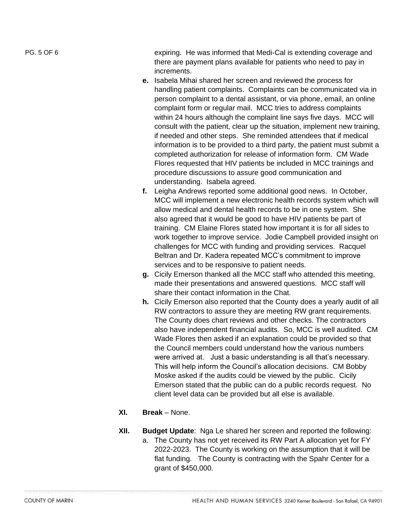PG. 5 OF 6 expiring. He was informed that Medi-Cal is extending coverage and there are payment plans available for patients who need to pay in increments.

- **e.** Isabela Mihai shared her screen and reviewed the process for handling patient complaints. Complaints can be communicated via in person complaint to a dental assistant, or via phone, email, an online complaint form or regular mail. MCC tries to address complaints within 24 hours although the complaint line says five days. MCC will consult with the patient, clear up the situation, implement new training, if needed and other steps. She reminded attendees that if medical information is to be provided to a third party, the patient must submit a completed authorization for release of information form. CM Wade Flores requested that HIV patients be included in MCC trainings and procedure discussions to assure good communication and understanding. Isabela agreed.
- **f.** Leigha Andrews reported some additional good news. In October, MCC will implement a new electronic health records system which will allow medical and dental health records to be in one system. She also agreed that it would be good to have HIV patients be part of training. CM Elaine Flores stated how important it is for all sides to work together to improve service. Jodie Campbell provided insight on challenges for MCC with funding and providing services. Racquel Beltran and Dr. Kadera repeated MCC's commitment to improve services and to be responsive to patient needs.
- **g.** Cicily Emerson thanked all the MCC staff who attended this meeting, made their presentations and answered questions. MCC staff will share their contact information in the Chat.
- **h.** Cicily Emerson also reported that the County does a yearly audit of all RW contractors to assure they are meeting RW grant requirements. The County does chart reviews and other checks. The contractors also have independent financial audits. So, MCC is well audited. CM Wade Flores then asked if an explanation could be provided so that the Council members could understand how the various numbers were arrived at. Just a basic understanding is all that's necessary. This will help inform the Council's allocation decisions. CM Bobby Moske asked if the audits could be viewed by the public. Cicily Emerson stated that the public can do a public records request. No client level data can be provided but all else is available.
- **XI. Break**  None.
- **XII. Budget Update**: Nga Le shared her screen and reported the following:
	- a. The County has not yet received its RW Part A allocation yet for FY 2022-2023. The County is working on the assumption that it will be flat funding. The County is contracting with the Spahr Center for a grant of \$450,000.